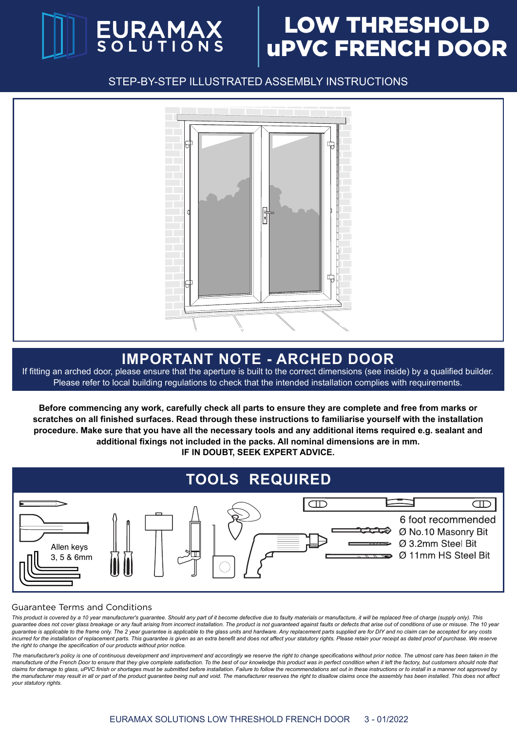# EURAMAX

## LOW THRESHOLD uPVC FRENCH DOOR

STEP-BY-STEP ILLUSTRATED ASSEMBLY INSTRUCTIONS



## **IMPORTANT NOTE - ARCHED DOOR**

If fitting an arched door, please ensure that the aperture is built to the correct dimensions (see inside) by a qualified builder. Please refer to local building regulations to check that the intended installation complies with requirements.

**Before commencing any work, carefully check all parts to ensure they are complete and free from marks or scratches on all finished surfaces. Read through these instructions to familiarise yourself with the installation procedure. Make sure that you have all the necessary tools and any additional items required e.g. sealant and additional fixings not included in the packs. All nominal dimensions are in mm. IF IN DOUBT, SEEK EXPERT ADVICE.**



#### Guarantee Terms and Conditions

*This product is covered by a 10 year manufacturer's guarantee. Should any part of it become defective due to faulty materials or manufacture, it will be replaced free of charge (supply only). This*  guarantee does not cover glass breakage or any fault arising from incorrect installation. The product is not guaranteed against faults or defects that arise out of conditions of use or misuse. The 10 year *guarantee is applicable to the frame only. The 2 year guarantee is applicable to the glass units and hardware. Any replacement parts supplied are for DIY and no claim can be accepted for any costs incurred for the installation of replacement parts. This guarantee is given as an extra benefit and does not affect your statutory rights. Please retain your receipt as dated proof of purchase. We reserve the right to change the specification of our products without prior notice.*

*The manufacturer's policy is one of continuous development and improvement and accordingly we reserve the right to change specifications without prior notice. The utmost care has been taken in the*  manufacture of the French Door to ensure that they give complete satisfaction. To the best of our knowledge this product was in perfect condition when it left the factory, but customers should note that *claims for damage to glass, uPVC finish or shortages must be submitted before installation. Failure to follow the recommendations set out in these instructions or to install in a manner not approved by*  the manufacturer may result in all or part of the product guarantee being null and void. The manufacturer reserves the right to disallow claims once the assembly has been installed. This does not affect *your statutory rights.*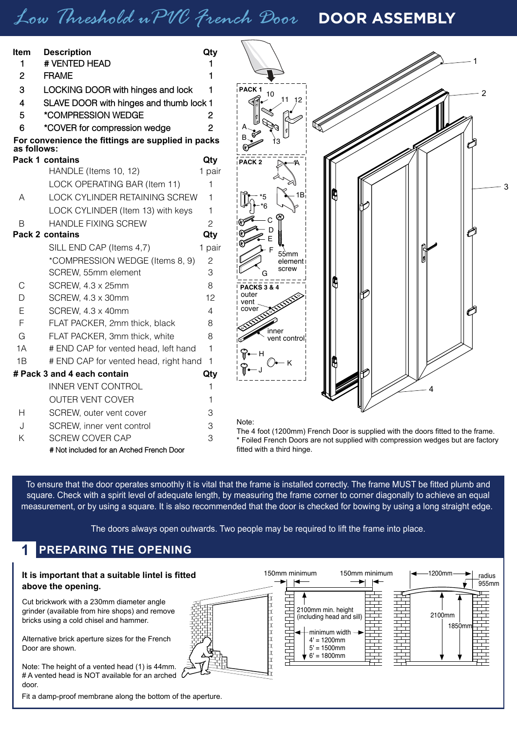## *Low Threshold uPVC French Door* **DOOR ASSEMBLY**

| ltem        | <b>Description</b>                                 | Qty            |                            |                                                                                 |
|-------------|----------------------------------------------------|----------------|----------------------------|---------------------------------------------------------------------------------|
| 1           | # VENTED HEAD                                      |                |                            |                                                                                 |
| 2           | <b>FRAME</b>                                       |                |                            |                                                                                 |
| 3           | LOCKING DOOR with hinges and lock                  | 1              | PACK <sub>1</sub><br>10    |                                                                                 |
| 4           | SLAVE DOOR with hinges and thumb lock 1            |                | 11 12                      |                                                                                 |
| 5           | *COMPRESSION WEDGE                                 | 2              |                            |                                                                                 |
| 6           | *COVER for compression wedge                       | 2              |                            |                                                                                 |
| as follows: | For convenience the fittings are supplied in packs |                |                            |                                                                                 |
|             | Pack 1 contains                                    | Qty            | PACK <sub>2</sub>          |                                                                                 |
|             | HANDLE (Items 10, 12)                              | 1 pair         |                            |                                                                                 |
|             | LOCK OPERATING BAR (Item 11)                       | 1              |                            |                                                                                 |
| A           | LOCK CYLINDER RETAINING SCREW                      | 1              |                            |                                                                                 |
|             | LOCK CYLINDER (Item 13) with keys                  | 1              |                            |                                                                                 |
| B           | <b>HANDLE FIXING SCREW</b>                         | $\overline{c}$ |                            |                                                                                 |
|             | Pack 2 contains                                    | Qty            |                            |                                                                                 |
|             | SILL END CAP (Items 4,7)                           | 1 pair         | 55mm                       |                                                                                 |
|             | *COMPRESSION WEDGE (Items 8, 9)                    | 2              | element                    |                                                                                 |
|             | SCREW, 55mm element                                | 3              | screw                      |                                                                                 |
| С           | SCREW, 4.3 x 25mm                                  | 8              | <b>PACKS 3 &amp; 4</b>     |                                                                                 |
| D           | SCREW, 4.3 x 30mm                                  | 12             | outer<br>vent              |                                                                                 |
| Ε           | SCREW, 4.3 x 40mm                                  | 4              | cover                      |                                                                                 |
| F           | FLAT PACKER, 2mm thick, black                      | 8              | inner                      |                                                                                 |
| G           | FLAT PACKER, 3mm thick, white                      | 8              | vent control               |                                                                                 |
| 1A          | # END CAP for vented head, left hand               | 1              |                            |                                                                                 |
| 1B          | # END CAP for vented head, right hand              | - 1            |                            |                                                                                 |
|             | # Pack 3 and 4 each contain                        | Qty            |                            |                                                                                 |
|             | <b>INNER VENT CONTROL</b>                          |                |                            |                                                                                 |
|             | <b>OUTER VENT COVER</b>                            |                |                            |                                                                                 |
| н           | SCREW, outer vent cover                            | 3              |                            |                                                                                 |
| J           | SCREW, inner vent control                          | 3              | Note:                      | The 4 foot (1200mm) French Door is supplied with the doors fitted to the frame. |
| Κ           | <b>SCREW COVER CAP</b>                             | 3              |                            | * Foiled French Doors are not supplied with compression wedges but are factory  |
|             | # Not included for an Arched French Door           |                | fitted with a third hinge. |                                                                                 |

To ensure that the door operates smoothly it is vital that the frame is installed correctly. The frame MUST be fitted plumb and square. Check with a spirit level of adequate length, by measuring the frame corner to corner diagonally to achieve an equal measurement, or by using a square. It is also recommended that the door is checked for bowing by using a long straight edge.

The doors always open outwards. Two people may be required to lift the frame into place.

#### **1 PREPARING THE OPENING**

#### **It is important that a suitable lintel is fitted above the opening.**

Cut brickwork with a 230mm diameter angle grinder (available from hire shops) and remove bricks using a cold chisel and hammer.

Alternative brick aperture sizes for the French Door are shown.

Note: The height of a vented head (1) is 44mm. # A vented head is NOT available for an arched door.

Fit a damp-proof membrane along the bottom of the aperture.

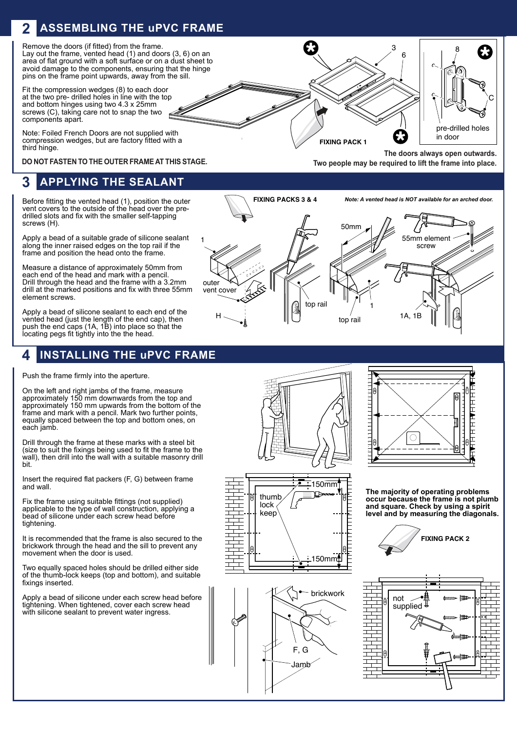#### **ASSEMBLING THE uPVC FRAME 2**

Remove the doors (if fitted) from the frame. Lay out the frame, vented head  $(1)$  and doors  $(3, 6)$  on an area of flat ground with a soft surface or on a dust sheet to avoid damage to the components, ensuring that the hinge pins on the frame point upwards, away from the sill.

Fit the compression wedges (8) to each door at the two pre- drilled holes in line with the top and bottom hinges using two 4.3 x 25mm screws (C), taking care not to snap the two components apart.

Note: Foiled French Doors are not supplied with compression wedges, but are factory fitted with a third hinge.

**DO NOT FASTEN TO THE OUTER FRAME AT THIS STAGE.**

#### **APPLYING THE SEALANT 3**

Before fitting the vented head (1), position the outer vent covers to the outside of the head over the predrilled slots and fix with the smaller self-tapping screws (H).

Apply a bead of a suitable grade of silicone sealant along the inner raised edges on the top rail if the frame and position the head onto the frame.

Measure a distance of approximately 50mm from each end of the head and mark with a pencil. Drill through the head and the frame with a 3.2mm drill at the marked positions and fix with three 55mm element screws.

Apply a bead of silicone sealant to each end of the vented head (just the length of the end cap), then push the end caps (1A, 1B) into place so that the locating pegs fit tightly into the the head.

### **4 INSTALLING THE uPVC FRAME**

Push the frame firmly into the aperture.

On the left and right jambs of the frame, measure approximately 150 mm downwards from the top and approximately 150 mm upwards from the bottom of the frame and mark with a pencil. Mark two further points, equally spaced between the top and bottom ones, on each jamb.

Drill through the frame at these marks with a steel bit (size to suit the fixings being used to fit the frame to the wall), then drill into the wall with a suitable masonry drill bit.

Insert the required flat packers (F, G) between frame and wall.

Fix the frame using suitable fittings (not supplied) applicable to the type of wall construction, applying a bead of silicone under each screw head before tightening.

It is recommended that the frame is also secured to the brickwork through the head and the sill to prevent any movement when the door is used.

Two equally spaced holes should be drilled either side of the thumb-lock keeps (top and bottom), and suitable fixings inserted.

Apply a bead of silicone under each screw head before tightening. When tightened, cover each screw head with silicone sealant to prevent water ingress.







**The doors always open outwards. Two people may be required to lift the frame into place.**

C

8

pre-drilled holes in door

3 6



**FIXING PACK 1**



**The majority of operating problems occur because the frame is not plumb and square. Check by using a spirit level and by measuring the diagonals.**



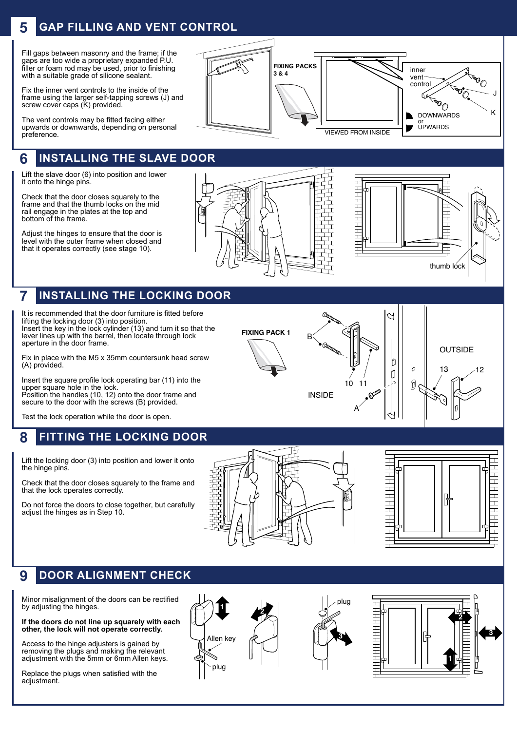## **5 GAP FILLING AND VENT CONTROL**

Fill gaps between masonry and the frame; if the gaps are too wide a proprietary expanded P.U. filler or foam rod may be used, prior to finishing with a suitable grade of silicone sealant.

Fix the inner vent controls to the inside of the frame using the larger self-tapping screws (J) and screw cover caps (K) provided.

The vent controls may be fitted facing either upwards or downwards, depending on personal preference.

#### **6 INSTALLING THE SLAVE DOOR**

Lift the slave door (6) into position and lower it onto the hinge pins.

Check that the door closes squarely to the frame and that the thumb locks on the mid rail engage in the plates at the top and bottom of the frame.

Adjust the hinges to ensure that the door is level with the outer frame when closed and that it operates correctly (see stage 10).





#### **7 INSTALLING THE LOCKING DOOR**

It is recommended that the door furniture is fitted before lifting the locking door (3) into position. Insert the key in the lock cylinder (13) and turn it so that the lever lines up with the barrel, then locate through lock aperture in the door frame.

Fix in place with the M5 x 35mm countersunk head screw (A) provided.

Insert the square profile lock operating bar (11) into the upper square hole in the lock. Position the handles (10, 12) onto the door frame and secure to the door with the screws (B) provided.

Test the lock operation while the door is open.

#### **8 FITTING THE LOCKING DOOR**

Lift the locking door (3) into position and lower it onto the hinge pins.

Check that the door closes squarely to the frame and that the lock operates correctly.

Do not force the doors to close together, but carefully adjust the hinges as in Step 10.





#### **9 DOOR ALIGNMENT CHECK**

Minor misalignment of the doors can be rectified by adjusting the hinges.

#### **If the doors do not line up squarely with each other, the lock will not operate correctly.**

Access to the hinge adjusters is gained by removing the plugs and making the relevant adjustment with the 5mm or 6mm Allen keys.

Replace the plugs when satisfied with the adjustment.





**FIXING PACK 1**

10 INSIDE B 11<br> $\bullet$ 

A

**OUTSIDE** D  $\overline{c}$ 13 12 b  $\Theta$ 

J